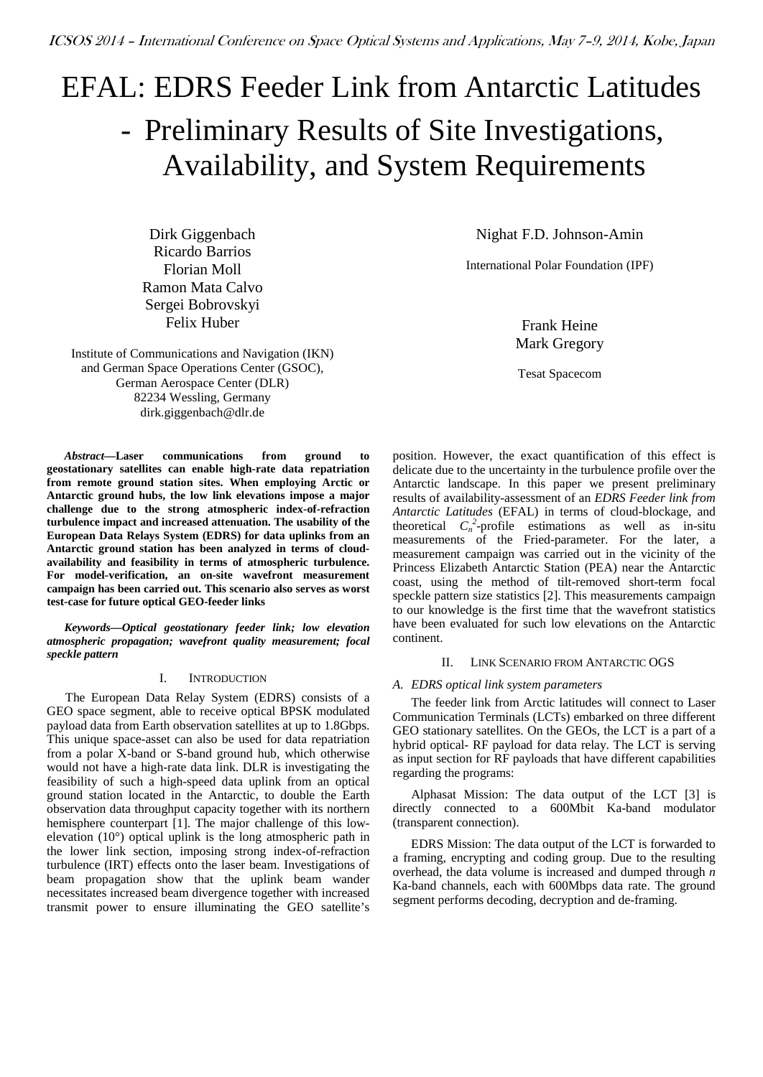# EFAL: EDRS Feeder Link from Antarctic Latitudes - Preliminary Results of Site Investigations, Availability, and System Requirements

Dirk Giggenbach Ricardo Barrios Florian Moll Ramon Mata Calvo Sergei Bobrovskyi Felix Huber

Institute of Communications and Navigation (IKN) and German Space Operations Center (GSOC), German Aerospace Center (DLR) 82234 Wessling, Germany dirk.giggenbach@dlr.de

*Abstract***—Laser communications from ground to geostationary satellites can enable high-rate data repatriation from remote ground station sites. When employing Arctic or Antarctic ground hubs, the low link elevations impose a major challenge due to the strong atmospheric index-of-refraction turbulence impact and increased attenuation. The usability of the European Data Relays System (EDRS) for data uplinks from an Antarctic ground station has been analyzed in terms of cloudavailability and feasibility in terms of atmospheric turbulence. For model-verification, an on-site wavefront measurement campaign has been carried out. This scenario also serves as worst test-case for future optical GEO-feeder links** 

*Keywords—Optical geostationary feeder link; low elevation atmospheric propagation; wavefront quality measurement; focal speckle pattern*

# I. INTRODUCTION

The European Data Relay System (EDRS) consists of a GEO space segment, able to receive optical BPSK modulated payload data from Earth observation satellites at up to 1.8Gbps. This unique space-asset can also be used for data repatriation from a polar X-band or S-band ground hub, which otherwise would not have a high-rate data link. DLR is investigating the feasibility of such a high-speed data uplink from an optical ground station located in the Antarctic, to double the Earth observation data throughput capacity together with its northern hemisphere counterpart [\[1\].](#page-8-0) The major challenge of this lowelevation (10°) optical uplink is the long atmospheric path in the lower link section, imposing strong index-of-refraction turbulence (IRT) effects onto the laser beam. Investigations of beam propagation show that the uplink beam wander necessitates increased beam divergence together with increased transmit power to ensure illuminating the GEO satellite's

Nighat F.D. Johnson-Amin

International Polar Foundation (IPF)

Frank Heine Mark Gregory

Tesat Spacecom

position. However, the exact quantification of this effect is delicate due to the uncertainty in the turbulence profile over the Antarctic landscape. In this paper we present preliminary results of availability-assessment of an *EDRS Feeder link from Antarctic Latitudes* (EFAL) in terms of cloud-blockage, and theoretical  $C_n^2$ -profile estimations as well as in-situ measurements of the Fried-parameter. For the later, a measurement campaign was carried out in the vicinity of the Princess Elizabeth Antarctic Station (PEA) near the Antarctic coast, using the method of tilt-removed short-term focal speckle pattern size statistics [\[2\].](#page-8-1) This measurements campaign to our knowledge is the first time that the wavefront statistics have been evaluated for such low elevations on the Antarctic continent.

## II. LINK SCENARIO FROM ANTARCTIC OGS

# *A. EDRS optical link system parameters*

The feeder link from Arctic latitudes will connect to Laser Communication Terminals (LCTs) embarked on three different GEO stationary satellites. On the GEOs, the LCT is a part of a hybrid optical- RF payload for data relay. The LCT is serving as input section for RF payloads that have different capabilities regarding the programs:

Alphasat Mission: The data output of the LCT [\[3\]](#page-8-2) is directly connected to a 600Mbit Ka-band modulator (transparent connection).

EDRS Mission: The data output of the LCT is forwarded to a framing, encrypting and coding group. Due to the resulting overhead, the data volume is increased and dumped through *n* Ka-band channels, each with 600Mbps data rate. The ground segment performs decoding, decryption and de-framing.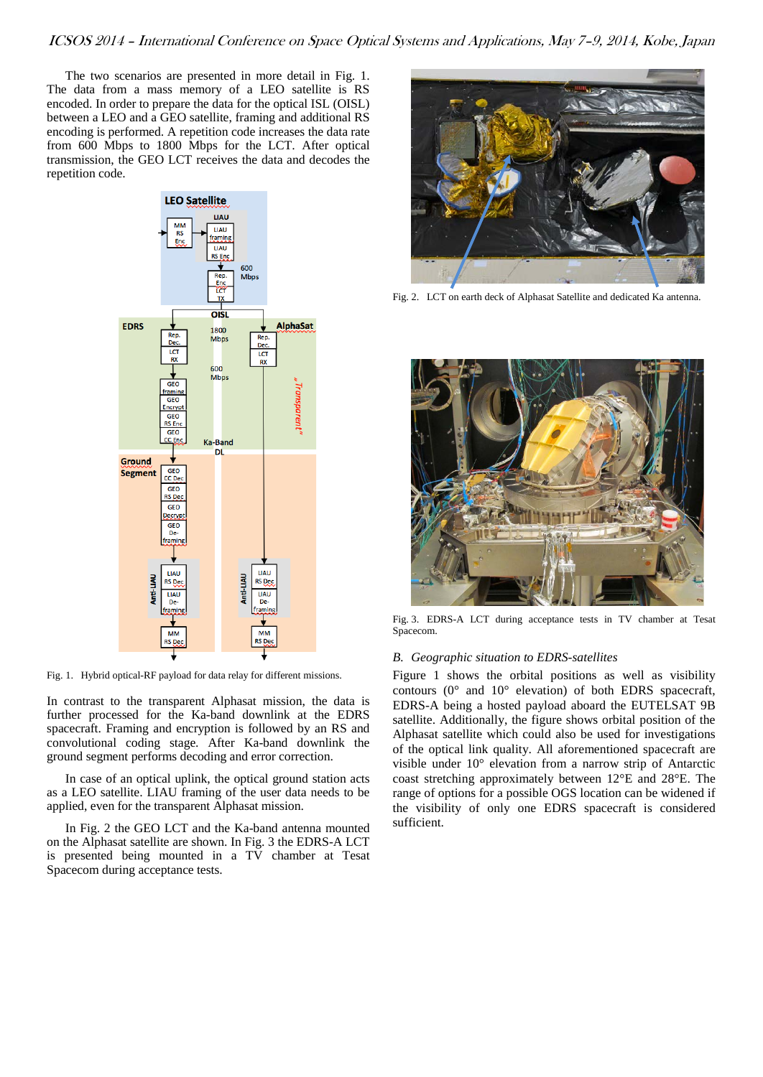The two scenarios are presented in more detail in [Fig. 1.](#page-1-0) The data from a mass memory of a LEO satellite is RS encoded. In order to prepare the data for the optical ISL (OISL) between a LEO and a GEO satellite, framing and additional RS encoding is performed. A repetition code increases the data rate from 600 Mbps to 1800 Mbps for the LCT. After optical transmission, the GEO LCT receives the data and decodes the repetition code.



<span id="page-1-0"></span>Fig. 1. Hybrid optical-RF payload for data relay for different missions.

In contrast to the transparent Alphasat mission, the data is further processed for the Ka-band downlink at the EDRS spacecraft. Framing and encryption is followed by an RS and convolutional coding stage. After Ka-band downlink the ground segment performs decoding and error correction.

In case of an optical uplink, the optical ground station acts as a LEO satellite. LIAU framing of the user data needs to be applied, even for the transparent Alphasat mission.

In [Fig. 2](#page-1-1) the GEO LCT and the Ka-band antenna mounted on the Alphasat satellite are shown. In [Fig. 3](#page-1-2) the EDRS-A LCT is presented being mounted in a TV chamber at Tesat Spacecom during acceptance tests.



Fig. 2. LCT on earth deck of Alphasat Satellite and dedicated Ka antenna.

<span id="page-1-1"></span>

Fig. 3. EDRS-A LCT during acceptance tests in TV chamber at Tesat Spacecom.

## <span id="page-1-2"></span>*B. Geographic situation to EDRS-satellites*

Figure 1 shows the orbital positions as well as visibility contours (0° and 10° elevation) of both EDRS spacecraft, EDRS-A being a hosted payload aboard the EUTELSAT 9B satellite. Additionally, the figure shows orbital position of the Alphasat satellite which could also be used for investigations of the optical link quality. All aforementioned spacecraft are visible under 10° elevation from a narrow strip of Antarctic coast stretching approximately between 12°E and 28°E. The range of options for a possible OGS location can be widened if the visibility of only one EDRS spacecraft is considered sufficient.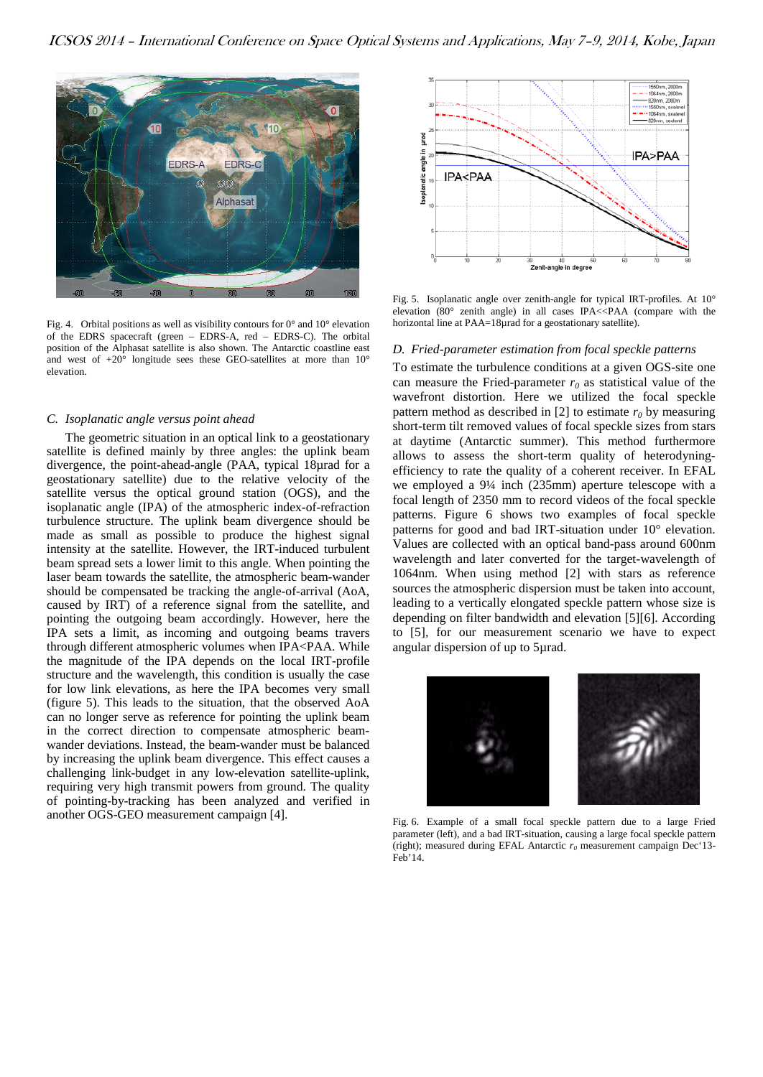

Fig. 4. Orbital positions as well as visibility contours for  $0^{\circ}$  and  $10^{\circ}$  elevation of the EDRS spacecraft (green – EDRS-A, red – EDRS-C). The orbital position of the Alphasat satellite is also shown. The Antarctic coastline east and west of  $+20^{\circ}$  longitude sees these GEO-satellites at more than 10° elevation.

## *C. Isoplanatic angle versus point ahead*

The geometric situation in an optical link to a geostationary satellite is defined mainly by three angles: the uplink beam divergence, the point-ahead-angle (PAA, typical 18µrad for a geostationary satellite) due to the relative velocity of the satellite versus the optical ground station (OGS), and the isoplanatic angle (IPA) of the atmospheric index-of-refraction turbulence structure. The uplink beam divergence should be made as small as possible to produce the highest signal intensity at the satellite. However, the IRT-induced turbulent beam spread sets a lower limit to this angle. When pointing the laser beam towards the satellite, the atmospheric beam-wander should be compensated be tracking the angle-of-arrival (AoA, caused by IRT) of a reference signal from the satellite, and pointing the outgoing beam accordingly. However, here the IPA sets a limit, as incoming and outgoing beams travers through different atmospheric volumes when IPA<PAA. While the magnitude of the IPA depends on the local IRT-profile structure and the wavelength, this condition is usually the case for low link elevations, as here the IPA becomes very small (figure 5). This leads to the situation, that the observed AoA can no longer serve as reference for pointing the uplink beam in the correct direction to compensate atmospheric beamwander deviations. Instead, the beam-wander must be balanced by increasing the uplink beam divergence. This effect causes a challenging link-budget in any low-elevation satellite-uplink, requiring very high transmit powers from ground. The quality of pointing-by-tracking has been analyzed and verified in another OGS-GEO measurement campaign [\[4\].](#page-8-3)



Fig. 5. Isoplanatic angle over zenith-angle for typical IRT-profiles. At 10° elevation  $(80^{\circ}$  zenith angle) in all cases IPA $<<$ PAA (compare with the horizontal line at PAA=18µrad for a geostationary satellite).

## *D. Fried-parameter estimation from focal speckle patterns*

To estimate the turbulence conditions at a given OGS-site one can measure the Fried-parameter  $r_0$  as statistical value of the wavefront distortion. Here we utilized the focal speckle pattern method as described in [\[2\]](#page-8-1) to estimate  $r_0$  by measuring short-term tilt removed values of focal speckle sizes from stars at daytime (Antarctic summer). This method furthermore allows to assess the short-term quality of heterodyningefficiency to rate the quality of a coherent receiver. In EFAL we employed a 9¼ inch (235mm) aperture telescope with a focal length of 2350 mm to record videos of the focal speckle patterns. Figure 6 shows two examples of focal speckle patterns for good and bad IRT-situation under 10° elevation. Values are collected with an optical band-pass around 600nm wavelength and later converted for the target-wavelength of 1064nm. When using method [\[2\]](#page-8-1) with stars as reference sources the atmospheric dispersion must be taken into account, leading to a vertically elongated speckle pattern whose size is depending on filter bandwidth and elevation [\[5\]\[6\].](#page-8-4) According to [\[5\],](#page-8-4) for our measurement scenario we have to expect angular dispersion of up to 5µrad.



Fig. 6. Example of a small focal speckle pattern due to a large Fried parameter (left), and a bad IRT-situation, causing a large focal speckle pattern (right); measured during EFAL Antarctic  $r_0$  measurement campaign Dec<sup>+</sup>13-Feb'14.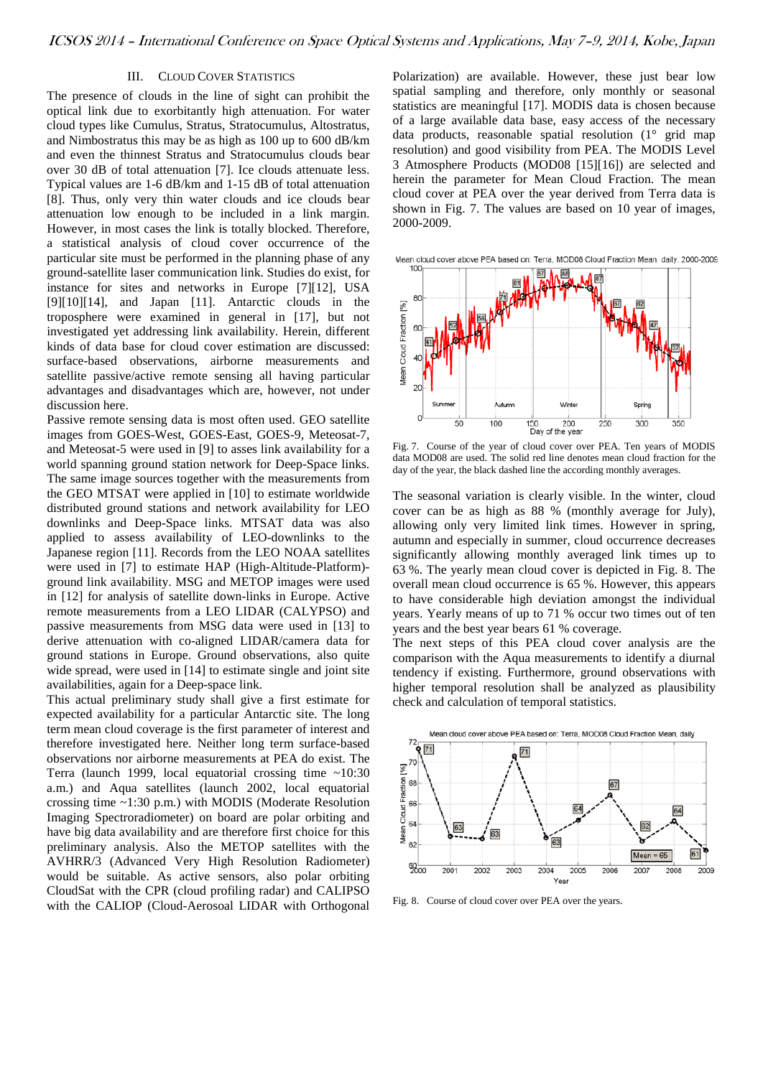# III. CLOUD COVER STATISTICS

The presence of clouds in the line of sight can prohibit the optical link due to exorbitantly high attenuation. For water cloud types like Cumulus, Stratus, Stratocumulus, Altostratus, and Nimbostratus this may be as high as 100 up to 600 dB/km and even the thinnest Stratus and Stratocumulus clouds bear over 30 dB of total attenuation [\[7\].](#page-8-5) Ice clouds attenuate less. Typical values are 1-6 dB/km and 1-15 dB of total attenuation [\[8\].](#page-8-6) Thus, only very thin water clouds and ice clouds bear attenuation low enough to be included in a link margin. However, in most cases the link is totally blocked. Therefore, a statistical analysis of cloud cover occurrence of the particular site must be performed in the planning phase of any ground-satellite laser communication link. Studies do exist, for instance for sites and networks in Europe [\[7\]\[12\],](#page-8-5) USA [\[9\]\[10\]](#page-8-7)[\[14\],](#page-8-8) and Japan [\[11\].](#page-8-9) Antarctic clouds in the troposphere were examined in general in [\[17\],](#page-9-0) but not investigated yet addressing link availability. Herein, different kinds of data base for cloud cover estimation are discussed: surface-based observations, airborne measurements and satellite passive/active remote sensing all having particular advantages and disadvantages which are, however, not under discussion here.

Passive remote sensing data is most often used. GEO satellite images from GOES-West, GOES-East, GOES-9, Meteosat-7, and Meteosat-5 were used in [\[9\]](#page-8-7) to asses link availability for a world spanning ground station network for Deep-Space links. The same image sources together with the measurements from the GEO MTSAT were applied in [\[10\]](#page-8-10) to estimate worldwide distributed ground stations and network availability for LEO downlinks and Deep-Space links. MTSAT data was also applied to assess availability of LEO-downlinks to the Japanese region [\[11\].](#page-8-9) Records from the LEO NOAA satellites were used in [\[7\]](#page-8-5) to estimate HAP (High-Altitude-Platform) ground link availability. MSG and METOP images were used in [\[12\]](#page-8-11) for analysis of satellite down-links in Europe. Active remote measurements from a LEO LIDAR (CALYPSO) and passive measurements from MSG data were used in [\[13\]](#page-8-12) to derive attenuation with co-aligned LIDAR/camera data for ground stations in Europe. Ground observations, also quite wide spread, were used in [\[14\]](#page-8-8) to estimate single and joint site availabilities, again for a Deep-space link.

This actual preliminary study shall give a first estimate for expected availability for a particular Antarctic site. The long term mean cloud coverage is the first parameter of interest and therefore investigated here. Neither long term surface-based observations nor airborne measurements at PEA do exist. The Terra (launch 1999, local equatorial crossing time ~10:30 a.m.) and Aqua satellites (launch 2002, local equatorial crossing time ~1:30 p.m.) with MODIS (Moderate Resolution Imaging Spectroradiometer) on board are polar orbiting and have big data availability and are therefore first choice for this preliminary analysis. Also the METOP satellites with the AVHRR/3 (Advanced Very High Resolution Radiometer) would be suitable. As active sensors, also polar orbiting CloudSat with the CPR (cloud profiling radar) and CALIPSO with the CALIOP (Cloud-Aerosoal LIDAR with Orthogonal

Polarization) are available. However, these just bear low spatial sampling and therefore, only monthly or seasonal statistics are meaningful [\[17\].](#page-9-0) MODIS data is chosen because of a large available data base, easy access of the necessary data products, reasonable spatial resolution (1° grid map resolution) and good visibility from PEA. The MODIS Level 3 Atmosphere Products (MOD08 [\[15\]\[16\]\)](#page-9-1) are selected and herein the parameter for Mean Cloud Fraction. The mean cloud cover at PEA over the year derived from Terra data is shown in [Fig. 7.](#page-3-0) The values are based on 10 year of images, 2000-2009.



<span id="page-3-0"></span>Fig. 7. Course of the year of cloud cover over PEA. Ten years of MODIS data MOD08 are used. The solid red line denotes mean cloud fraction for the day of the year, the black dashed line the according monthly averages.

The seasonal variation is clearly visible. In the winter, cloud cover can be as high as 88 % (monthly average for July), allowing only very limited link times. However in spring, autumn and especially in summer, cloud occurrence decreases significantly allowing monthly averaged link times up to 63 %. The yearly mean cloud cover is depicted in [Fig. 8.](#page-3-1) The overall mean cloud occurrence is 65 %. However, this appears to have considerable high deviation amongst the individual years. Yearly means of up to 71 % occur two times out of ten years and the best year bears 61 % coverage.

The next steps of this PEA cloud cover analysis are the comparison with the Aqua measurements to identify a diurnal tendency if existing. Furthermore, ground observations with higher temporal resolution shall be analyzed as plausibility check and calculation of temporal statistics.



<span id="page-3-1"></span>Fig. 8. Course of cloud cover over PEA over the years.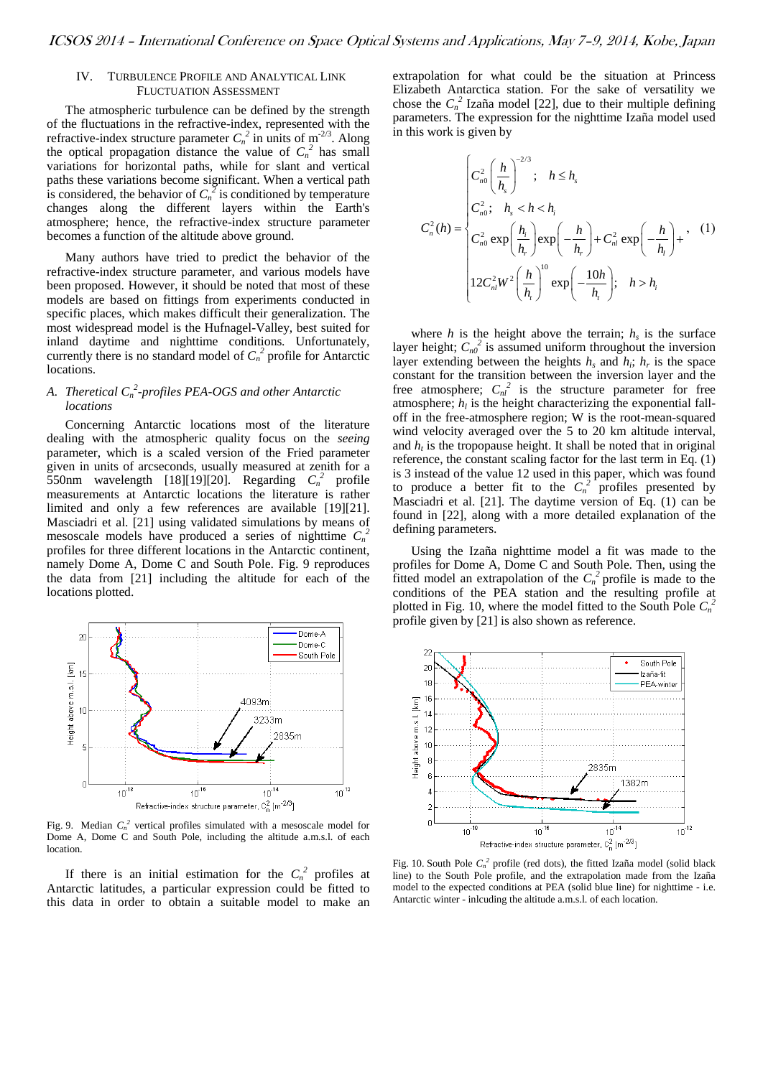## IV. TURBULENCE PROFILE AND ANALYTICAL LINK FLUCTUATION ASSESSMENT

The atmospheric turbulence can be defined by the strength of the fluctuations in the refractive-index, represented with the refractive-index structure parameter  $C_n^2$  in units of  $m^{-2/3}$ . Along the optical propagation distance the value of  $C_n^2$  has small variations for horizontal paths, while for slant and vertical paths these variations become significant. When a vertical path is considered, the behavior of  $C_n^2$  is conditioned by temperature changes along the different layers within the Earth's atmosphere; hence, the refractive-index structure parameter becomes a function of the altitude above ground.

Many authors have tried to predict the behavior of the refractive-index structure parameter, and various models have been proposed. However, it should be noted that most of these models are based on fittings from experiments conducted in specific places, which makes difficult their generalization. The most widespread model is the Hufnagel-Valley, best suited for inland daytime and nighttime conditions. Unfortunately, currently there is no standard model of  $C_n^2$  profile for Antarctic locations.

# A. Theretical  $C_n^2$ -profiles PEA-OGS and other Antarctic *locations*

Concerning Antarctic locations most of the literature dealing with the atmospheric quality focus on the *seeing* parameter, which is a scaled version of the Fried parameter given in units of arcseconds, usually measured at zenith for a 550nm wavelength  $[18][19][20]$  $[18][19][20]$ . Regarding  $C_n^2$  profile measurements at Antarctic locations the literature is rather limited and only a few references are available [\[19\]\[21\].](#page-9-4) Masciadri et al. [\[21\]](#page-9-5) using validated simulations by means of mesoscale models have produced a series of nighttime  $C_n^2$ profiles for three different locations in the Antarctic continent, namely Dome A, Dome C and South Pole. [Fig. 9](#page-4-0) reproduces the data from [\[21\]](#page-9-5) including the altitude for each of the locations plotted.



<span id="page-4-0"></span>Fig. 9. Median  $C_n^2$  vertical profiles simulated with a mesoscale model for Dome A, Dome C and South Pole, including the altitude a.m.s.l. of each location.

If there is an initial estimation for the  $C_n^2$  profiles at Antarctic latitudes, a particular expression could be fitted to this data in order to obtain a suitable model to make an

extrapolation for what could be the situation at Princess Elizabeth Antarctica station. For the sake of versatility we chose the  $C_n^2$  Izaña model [\[22\],](#page-9-6) due to their multiple defining parameters. The expression for the nighttime Izaña model used in this work is given by

$$
C_n^2(h) = \begin{cases} C_{n0}^2 \left(\frac{h}{h_s}\right)^{-2/3}; & h \le h_s \\ C_{n0}^2; & h_s < h < h_i \\ C_{n0}^2 \exp\left(\frac{h_i}{h_r}\right) \exp\left(-\frac{h}{h_r}\right) + C_{nl}^2 \exp\left(-\frac{h}{h_l}\right) + \\ 12C_{nl}^2 W^2 \left(\frac{h}{h_i}\right)^{10} \exp\left(-\frac{10h}{h_i}\right); & h > h_i \end{cases}
$$
 (1)

where *h* is the height above the terrain;  $h_s$  is the surface layer height;  $C_{n0}^2$  is assumed uniform throughout the inversion layer extending between the heights  $h_s$  and  $h_i$ ;  $h_r$  is the space constant for the transition between the inversion layer and the free atmosphere;  $C_{nl}^{2}$  is the structure parameter for free atmosphere;  $h_l$  is the height characterizing the exponential falloff in the free-atmosphere region; W is the root-mean-squared wind velocity averaged over the 5 to 20 km altitude interval, and  $h_t$  is the tropopause height. It shall be noted that in original reference, the constant scaling factor for the last term in Eq. (1) is 3 instead of the value 12 used in this paper, which was found to produce a better fit to the  $C_n^2$  profiles presented by Masciadri et al. [\[21\].](#page-9-5) The daytime version of Eq. (1) can be found in [\[22\],](#page-9-6) along with a more detailed explanation of the defining parameters.

Using the Izaña nighttime model a fit was made to the profiles for Dome A, Dome C and South Pole. Then, using the fitted model an extrapolation of the  $C_n^2$  profile is made to the conditions of the PEA station and the resulting profile at plotted in [Fig. 10,](#page-4-1) where the model fitted to the South Pole  $C_n^2$ profile given by [\[21\]](#page-9-5) is also shown as reference.



<span id="page-4-1"></span>Fig. 10. South Pole  $C_n^2$  profile (red dots), the fitted Izaña model (solid black line) to the South Pole profile, and the extrapolation made from the Izaña model to the expected conditions at PEA (solid blue line) for nighttime - i.e. Antarctic winter - inlcuding the altitude a.m.s.l. of each location.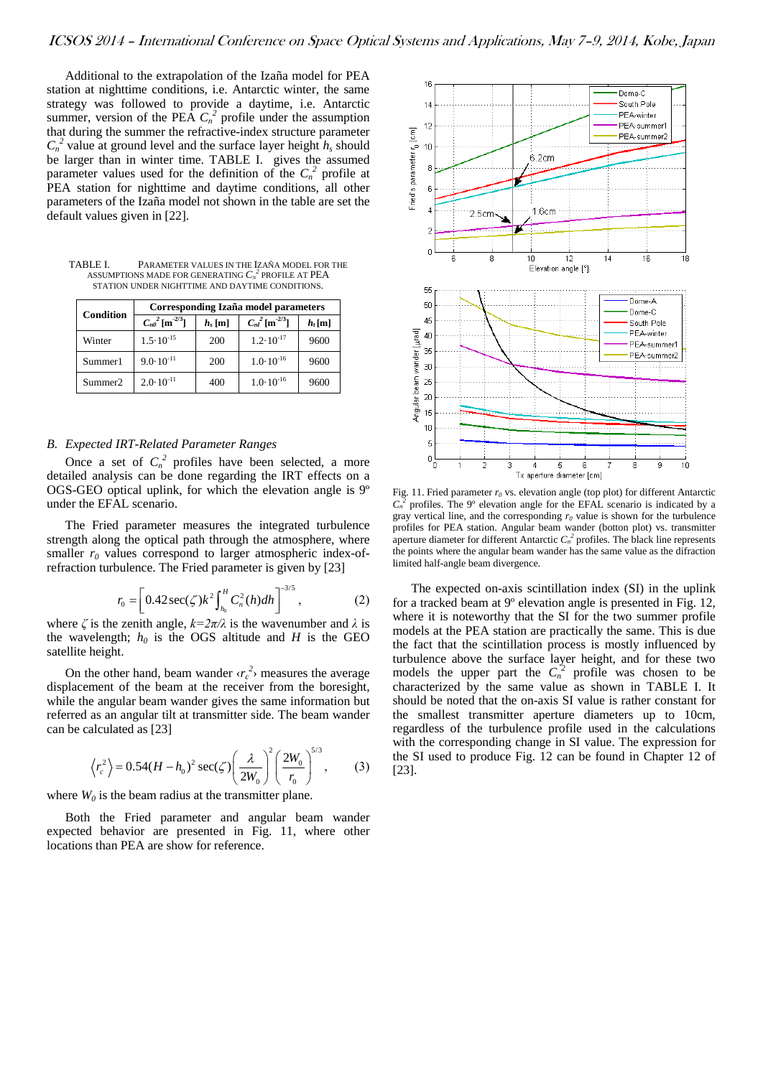Additional to the extrapolation of the Izaña model for PEA station at nighttime conditions, i.e. Antarctic winter, the same strategy was followed to provide a daytime, i.e. Antarctic summer, version of the PEA  $C_n^2$  profile under the assumption that during the summer the refractive-index structure parameter  $C_n^2$  value at ground level and the surface layer height  $h_s$  should be larger than in winter time. [TABLE I.](#page-5-0) gives the assumed parameter values used for the definition of the  $C_n^2$  profile at PEA station for nighttime and daytime conditions, all other parameters of the Izaña model not shown in the table are set the default values given i[n \[22\].](#page-9-6)

<span id="page-5-0"></span>TABLE I. PARAMETER VALUES IN THE IZAÑA MODEL FOR THE ASSUMPTIONS MADE FOR GENERATING  $C_{\scriptscriptstyle N}^{\ {\rm 2}}$  profile at  $PEA$ STATION UNDER NIGHTTIME AND DAYTIME CONDITIONS.

| Condition           | Corresponding Izaña model parameters |           |                                   |           |
|---------------------|--------------------------------------|-----------|-----------------------------------|-----------|
|                     | $C_{n0}^{2}$ [m <sup>-2/3</sup> ]    | $h_s$ [m] | $C_{nl}^{2}$ [m <sup>-2/3</sup> ] | $h_t$ [m] |
| Winter              | $1.5 \cdot 10^{-15}$                 | 200       | $1.2 \cdot 10^{-17}$              | 9600      |
| Summer1             | $9.0 \cdot 10^{-11}$                 | 200       | $1.0 \cdot 10^{-16}$              | 9600      |
| Summer <sub>2</sub> | $2.0 \cdot 10^{-11}$                 | 400       | $1.0 \cdot 10^{-16}$              | 9600      |

## *B. Expected IRT-Related Parameter Ranges*

Once a set of  $C_n^2$  profiles have been selected, a more detailed analysis can be done regarding the IRT effects on a OGS-GEO optical uplink, for which the elevation angle is 9º under the EFAL scenario.

The Fried parameter measures the integrated turbulence strength along the optical path through the atmosphere, where smaller  $r_0$  values correspond to larger atmospheric index-ofrefraction turbulence. The Fried parameter is given by [\[23\]](#page-9-7)

$$
r_0 = \left[ 0.42 \sec(\zeta) k^2 \int_{h_0}^H C_n^2(h) dh \right]^{-3/5}, \tag{2}
$$

where  $\zeta$  is the zenith angle,  $k = 2\pi/\lambda$  is the wavenumber and  $\lambda$  is the wavelength;  $h_0$  is the OGS altitude and *H* is the GEO satellite height.

On the other hand, beam wander  $\langle r_c^2 \rangle$  measures the average displacement of the beam at the receiver from the boresight, while the angular beam wander gives the same information but referred as an angular tilt at transmitter side. The beam wander can be calculated a[s \[23\]](#page-9-7)

$$
\langle r_c^2 \rangle = 0.54(H - h_0)^2 \sec(\zeta) \left( \frac{\lambda}{2W_0} \right)^2 \left( \frac{2W_0}{r_0} \right)^{5/3},
$$
 (3)

where  $W_0$  is the beam radius at the transmitter plane.

Both the Fried parameter and angular beam wander expected behavior are presented in [Fig. 11,](#page-5-1) where other locations than PEA are show for reference.



<span id="page-5-1"></span>Fig. 11. Fried parameter  $r_0$  vs. elevation angle (top plot) for different Antarctic  $C_n^2$  profiles. The 9<sup>o</sup> elevation angle for the EFAL scenario is indicated by a gray vertical line, and the corresponding  $r<sub>0</sub>$  value is shown for the turbulence profiles for PEA station. Angular beam wander (botton plot) vs. transmitter aperture diameter for different Antarctic  $C_n^2$  profiles. The black line represents the points where the angular beam wander has the same value as the difraction limited half-angle beam divergence.

The expected on-axis scintillation index (SI) in the uplink for a tracked beam at 9º elevation angle is presented in [Fig. 12,](#page-6-0)  where it is noteworthy that the SI for the two summer profile models at the PEA station are practically the same. This is due the fact that the scintillation process is mostly influenced by turbulence above the surface layer height, and for these two models the upper part the  $C_n^2$  profile was chosen to be characterized by the same value as shown in [TABLE I. I](#page-5-0)t should be noted that the on-axis SI value is rather constant for the smallest transmitter aperture diameters up to 10cm, regardless of the turbulence profile used in the calculations with the corresponding change in SI value. The expression for the SI used to produce [Fig. 12](#page-6-0) can be found in Chapter 12 of [\[23\].](#page-9-7)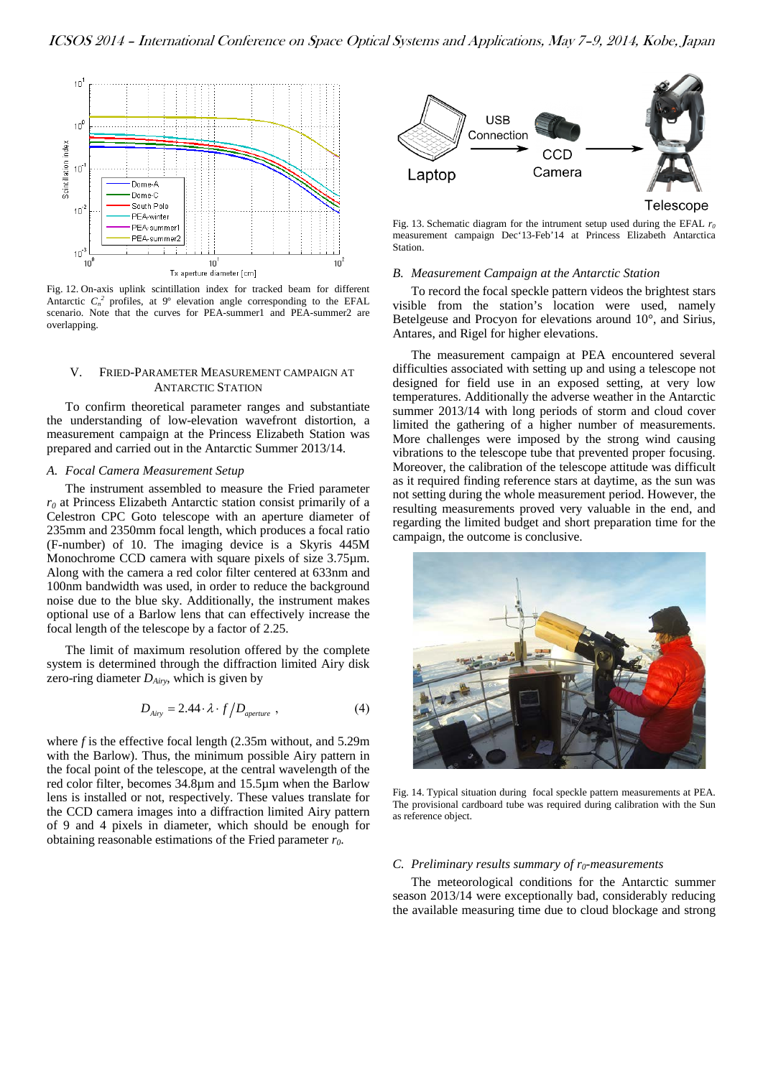

<span id="page-6-0"></span>Fig. 12. On-axis uplink scintillation index for tracked beam for different Antarctic  $C_n^2$  profiles, at 9° elevation angle corresponding to the EFAL scenario. Note that the curves for PEA-summer1 and PEA-summer2 are overlapping.

## V. FRIED-PARAMETER MEASUREMENT CAMPAIGN AT ANTARCTIC STATION

To confirm theoretical parameter ranges and substantiate the understanding of low-elevation wavefront distortion, a measurement campaign at the Princess Elizabeth Station was prepared and carried out in the Antarctic Summer 2013/14.

# *A. Focal Camera Measurement Setup*

The instrument assembled to measure the Fried parameter *r0* at Princess Elizabeth Antarctic station consist primarily of a Celestron CPC Goto telescope with an aperture diameter of 235mm and 2350mm focal length, which produces a focal ratio (F-number) of 10. The imaging device is a Skyris 445M Monochrome CCD camera with square pixels of size 3.75 $\mu$ m. Along with the camera a red color filter centered at 633nm and 100nm bandwidth was used, in order to reduce the background noise due to the blue sky. Additionally, the instrument makes optional use of a Barlow lens that can effectively increase the focal length of the telescope by a factor of 2.25.

The limit of maximum resolution offered by the complete system is determined through the diffraction limited Airy disk zero-ring diameter  $D_{Airy}$ , which is given by

$$
D_{Airy} = 2.44 \cdot \lambda \cdot f / D_{\text{aperture}} \,, \tag{4}
$$

where *f* is the effective focal length (2.35m without, and 5.29m with the Barlow). Thus, the minimum possible Airy pattern in the focal point of the telescope, at the central wavelength of the red color filter, becomes 34.8µm and 15.5µm when the Barlow lens is installed or not, respectively. These values translate for the CCD camera images into a diffraction limited Airy pattern of 9 and 4 pixels in diameter, which should be enough for obtaining reasonable estimations of the Fried parameter *r0*.



Fig. 13. Schematic diagram for the intrument setup used during the EFAL *r0* measurement campaign Dec'13-Feb'14 at Princess Elizabeth Antarctica Station.

## *B. Measurement Campaign at the Antarctic Station*

To record the focal speckle pattern videos the brightest stars visible from the station's location were used, namely Betelgeuse and Procyon for elevations around 10°, and Sirius, Antares, and Rigel for higher elevations.

The measurement campaign at PEA encountered several difficulties associated with setting up and using a telescope not designed for field use in an exposed setting, at very low temperatures. Additionally the adverse weather in the Antarctic summer 2013/14 with long periods of storm and cloud cover limited the gathering of a higher number of measurements. More challenges were imposed by the strong wind causing vibrations to the telescope tube that prevented proper focusing. Moreover, the calibration of the telescope attitude was difficult as it required finding reference stars at daytime, as the sun was not setting during the whole measurement period. However, the resulting measurements proved very valuable in the end, and regarding the limited budget and short preparation time for the campaign, the outcome is conclusive.



Fig. 14. Typical situation during focal speckle pattern measurements at PEA. The provisional cardboard tube was required during calibration with the Sun as reference object.

## *C.* Preliminary results summary of  $r_0$ -measurements

The meteorological conditions for the Antarctic summer season 2013/14 were exceptionally bad, considerably reducing the available measuring time due to cloud blockage and strong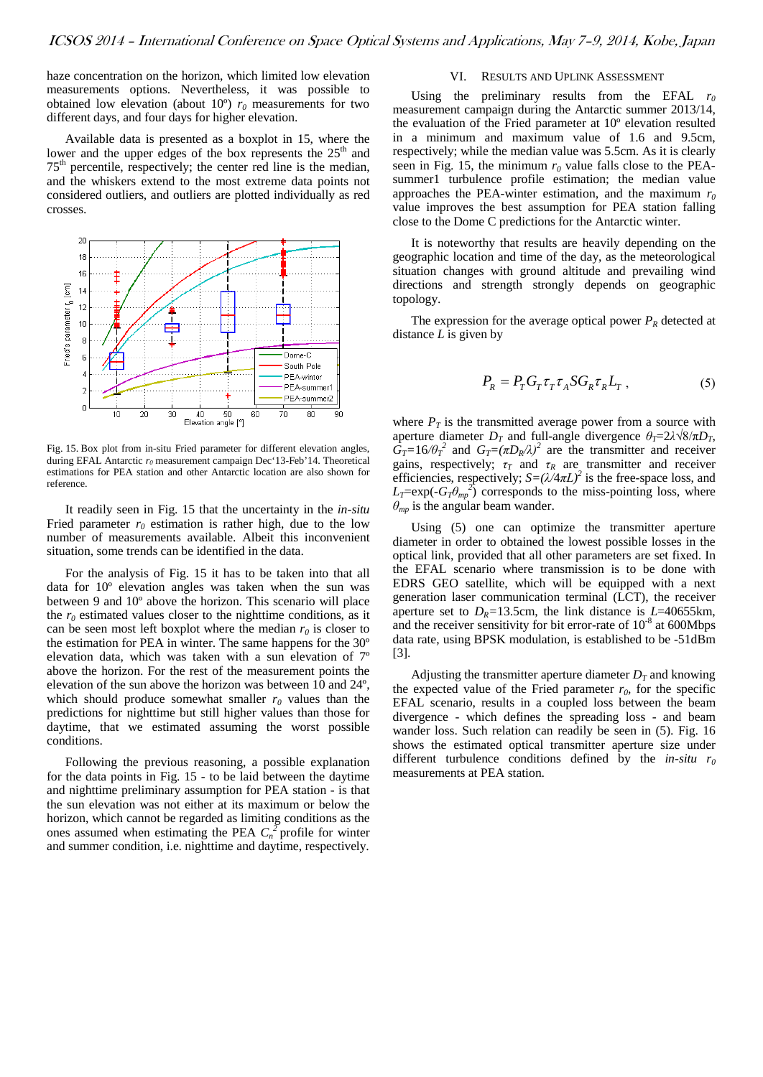haze concentration on the horizon, which limited low elevation measurements options. Nevertheless, it was possible to obtained low elevation (about  $10^{\circ}$ )  $r_0$  measurements for two different days, and four days for higher elevation.

Available data is presented as a boxplot in 15, where the lower and the upper edges of the box represents the  $25<sup>th</sup>$  and  $75<sup>th</sup>$  percentile, respectively; the center red line is the median, and the whiskers extend to the most extreme data points not considered outliers, and outliers are plotted individually as red crosses.



<span id="page-7-0"></span>Fig. 15. Box plot from in-situ Fried parameter for different elevation angles, during EFAL Antarctic  $r_0$  measurement campaign Dec<sup>+</sup>13-Feb<sup>+</sup>14. Theoretical estimations for PEA station and other Antarctic location are also shown for reference.

It readily seen in [Fig. 15](#page-7-0) that the uncertainty in the *in-situ* Fried parameter  $r_0$  estimation is rather high, due to the low number of measurements available. Albeit this inconvenient situation, some trends can be identified in the data.

For the analysis of [Fig. 15](#page-7-0) it has to be taken into that all data for 10º elevation angles was taken when the sun was between 9 and 10º above the horizon. This scenario will place the  $r_0$  estimated values closer to the nighttime conditions, as it can be seen most left boxplot where the median  $r_0$  is closer to the estimation for PEA in winter. The same happens for the 30º elevation data, which was taken with a sun elevation of 7º above the horizon. For the rest of the measurement points the elevation of the sun above the horizon was between 10 and 24º, which should produce somewhat smaller  $r_0$  values than the predictions for nighttime but still higher values than those for daytime, that we estimated assuming the worst possible conditions.

Following the previous reasoning, a possible explanation for the data points in [Fig. 15](#page-7-0) - to be laid between the daytime and nighttime preliminary assumption for PEA station - is that the sun elevation was not either at its maximum or below the horizon, which cannot be regarded as limiting conditions as the ones assumed when estimating the PEA  $C_n^{\gamma}$  profile for winter and summer condition, i.e. nighttime and daytime, respectively.

# VI. RESULTS AND UPLINK ASSESSMENT

Using the preliminary results from the EFAL  $r_0$ measurement campaign during the Antarctic summer 2013/14, the evaluation of the Fried parameter at 10º elevation resulted in a minimum and maximum value of 1.6 and 9.5cm, respectively; while the median value was 5.5cm. As it is clearly seen in [Fig. 15,](#page-7-0) the minimum  $r_0$  value falls close to the PEAsummer1 turbulence profile estimation; the median value approaches the PEA-winter estimation, and the maximum  $r_0$ value improves the best assumption for PEA station falling close to the Dome C predictions for the Antarctic winter.

It is noteworthy that results are heavily depending on the geographic location and time of the day, as the meteorological situation changes with ground altitude and prevailing wind directions and strength strongly depends on geographic topology.

The expression for the average optical power  $P_R$  detected at distance *L* is given by

$$
P_R = P_T G_T \tau_T \tau_A S G_R \tau_R L_T , \qquad (5)
$$

where  $P_T$  is the transmitted average power from a source with aperture diameter  $D_T$  and full-angle divergence  $\theta_T = 2\lambda \sqrt{8/\pi D_T}$ ,  $G_T=16/\theta_T^2$  and  $G_T=(\pi D_R/\lambda)^2$  are the transmitter and receiver gains, respectively;  $\tau_T$  and  $\tau_R$  are transmitter and receiver efficiencies, respectively;  $S = (\lambda/4\pi L)^2$  is the free-space loss, and  $L_T = \exp(-G_T \theta_{mp}^2)$  corresponds to the miss-pointing loss, where *θmp* is the angular beam wander.

Using (5) one can optimize the transmitter aperture diameter in order to obtained the lowest possible losses in the optical link, provided that all other parameters are set fixed. In the EFAL scenario where transmission is to be done with EDRS GEO satellite, which will be equipped with a next generation laser communication terminal (LCT), the receiver aperture set to  $D_R$ =13.5cm, the link distance is  $L$ =40655km, and the receiver sensitivity for bit error-rate of  $10^{-8}$  at 600Mbps data rate, using BPSK modulation, is established to be -51dBm [\[3\].](#page-8-2)

Adjusting the transmitter aperture diameter  $D_T$  and knowing the expected value of the Fried parameter  $r_0$ , for the specific EFAL scenario, results in a coupled loss between the beam divergence - which defines the spreading loss - and beam wander loss. Such relation can readily be seen in (5). [Fig. 16](#page-8-13) shows the estimated optical transmitter aperture size under different turbulence conditions defined by the *in-situ r0* measurements at PEA station.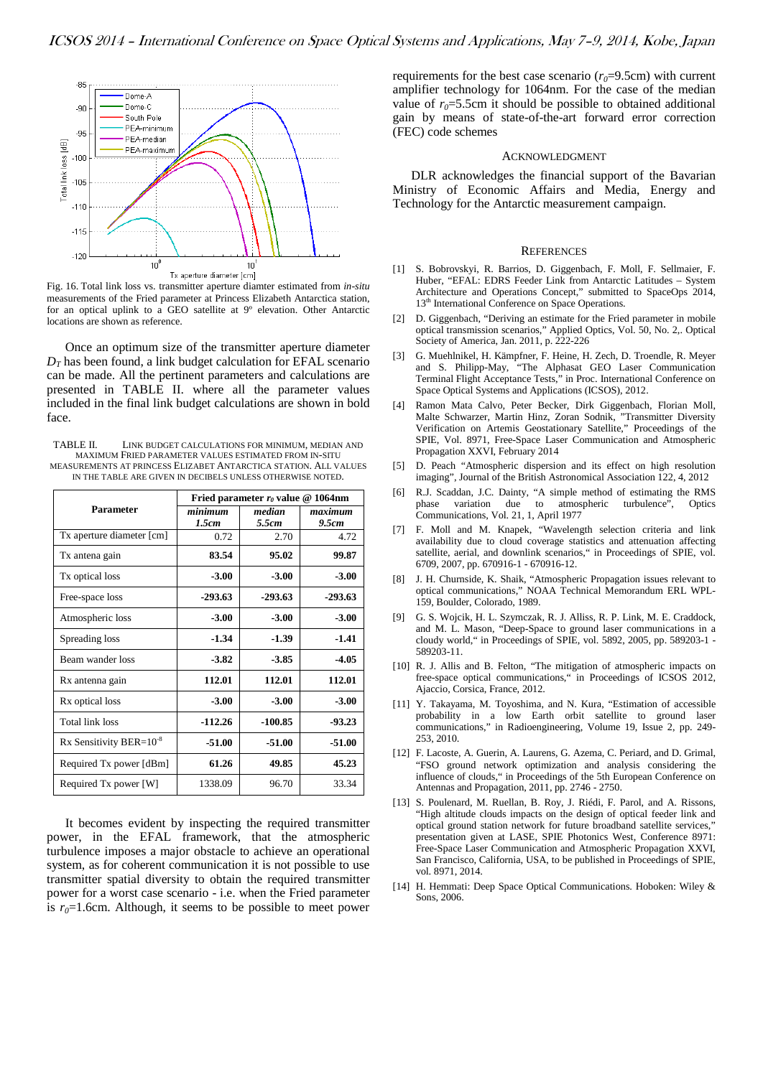

<span id="page-8-13"></span>Fig. 16. Total link loss vs. transmitter aperture diamter estimated from *in-situ* measurements of the Fried parameter at Princess Elizabeth Antarctica station, for an optical uplink to a GEO satellite at 9º elevation. Other Antarctic locations are shown as reference.

Once an optimum size of the transmitter aperture diameter  $D<sub>T</sub>$  has been found, a link budget calculation for EFAL scenario can be made. All the pertinent parameters and calculations are presented in [TABLE II. w](#page-8-14)here all the parameter values included in the final link budget calculations are shown in bold face.

<span id="page-8-14"></span>TABLE II. LINK BUDGET CALCULATIONS FOR MINIMUM, MEDIAN AND MAXIMUM FRIED PARAMETER VALUES ESTIMATED FROM IN-SITU MEASUREMENTS AT PRINCESS ELIZABET ANTARCTICA STATION. ALL VALUES IN THE TABLE ARE GIVEN IN DECIBELS UNLESS OTHERWISE NOTED.

|                               | Fried parameter $r_0$ value @ 1064nm |                 |                  |  |
|-------------------------------|--------------------------------------|-----------------|------------------|--|
| Parameter                     | minimum<br>1.5cm                     | median<br>5.5cm | maximum<br>9.5cm |  |
| Tx aperture diameter [cm]     | 0.72                                 | 2.70            | 4.72             |  |
| Tx antena gain                | 83.54                                | 95.02           | 99.87            |  |
| Tx optical loss               | $-3.00$                              | $-3.00$         | $-3.00$          |  |
| Free-space loss               | $-293.63$                            | $-293.63$       | $-293.63$        |  |
| Atmospheric loss              | $-3.00$                              | $-3.00$         | $-3.00$          |  |
| Spreading loss                | $-1.34$                              | $-1.39$         | $-1.41$          |  |
| Beam wander loss              | $-3.82$                              | $-3.85$         | $-4.05$          |  |
| Rx antenna gain               | 112.01                               | 112.01          | 112.01           |  |
| Rx optical loss               | $-3.00$                              | $-3.00$         | $-3.00$          |  |
| <b>Total link loss</b>        | $-112.26$                            | -100.85         | $-93.23$         |  |
| Rx Sensitivity BER= $10^{-8}$ | $-51.00$                             | $-51.00$        | $-51.00$         |  |
| Required Tx power [dBm]       | 61.26                                | 49.85           | 45.23            |  |
| Required Tx power [W]         | 1338.09                              | 96.70           | 33.34            |  |

It becomes evident by inspecting the required transmitter power, in the EFAL framework, that the atmospheric turbulence imposes a major obstacle to achieve an operational system, as for coherent communication it is not possible to use transmitter spatial diversity to obtain the required transmitter power for a worst case scenario - i.e. when the Fried parameter is  $r_0$ =1.6cm. Although, it seems to be possible to meet power

requirements for the best case scenario  $(r_0=9.5cm)$  with current amplifier technology for 1064nm. For the case of the median value of  $r_0 = 5.5$ cm it should be possible to obtained additional gain by means of state-of-the-art forward error correction (FEC) code schemes

#### ACKNOWLEDGMENT

DLR acknowledges the financial support of the Bavarian Ministry of Economic Affairs and Media, Energy and Technology for the Antarctic measurement campaign.

#### **REFERENCES**

- <span id="page-8-0"></span>[1] S. Bobrovskyi, R. Barrios, D. Giggenbach, F. Moll, F. Sellmaier, F. Huber, "EFAL: EDRS Feeder Link from Antarctic Latitudes – System Architecture and Operations Concept," submitted to SpaceOps 2014, 13<sup>th</sup> International Conference on Space Operations.
- <span id="page-8-1"></span>[2] D. Giggenbach, "Deriving an estimate for the Fried parameter in mobile optical transmission scenarios," Applied Optics, Vol. 50, No. 2,. Optical Society of America, Jan. 2011, p. 222-226
- <span id="page-8-2"></span>[3] G. Muehlnikel, H. Kämpfner, F. Heine, H. Zech, D. Troendle, R. Meyer and S. Philipp-May, "The Alphasat GEO Laser Communication Terminal Flight Acceptance Tests," in Proc. International Conference on Space Optical Systems and Applications (ICSOS), 2012.
- <span id="page-8-3"></span>[4] Ramon Mata Calvo, Peter Becker, Dirk Giggenbach, Florian Moll, Malte Schwarzer, Martin Hinz, Zoran Sodnik, "Transmitter Diversity Verification on Artemis Geostationary Satellite," Proceedings of the SPIE, Vol. 8971, Free-Space Laser Communication and Atmospheric Propagation XXVI, February 2014
- <span id="page-8-4"></span>[5] D. Peach "Atmospheric dispersion and its effect on high resolution imaging", Journal of the British Astronomical Association 122, 4, 2012
- [6] R.J. Scaddan, J.C. Dainty, "A simple method of estimating the RMS variation due to atmospheric turbulence", Optics Communications, Vol. 21, 1, April 1977
- <span id="page-8-5"></span>[7] F. Moll and M. Knapek, "Wavelength selection criteria and link availability due to cloud coverage statistics and attenuation affecting satellite, aerial, and downlink scenarios," in Proceedings of SPIE, vol. 6709, 2007, pp. 670916-1 - 670916-12.
- <span id="page-8-6"></span>[8] J. H. Churnside, K. Shaik, "Atmospheric Propagation issues relevant to optical communications," NOAA Technical Memorandum ERL WPL-159, Boulder, Colorado, 1989.
- <span id="page-8-7"></span>[9] G. S. Wojcik, H. L. Szymczak, R. J. Alliss, R. P. Link, M. E. Craddock, and M. L. Mason, "Deep-Space to ground laser communications in a cloudy world," in Proceedings of SPIE, vol. 5892, 2005, pp. 589203-1 - 589203-11.
- <span id="page-8-10"></span>[10] R. J. Allis and B. Felton, "The mitigation of atmospheric impacts on free-space optical communications," in Proceedings of ICSOS 2012, Ajaccio, Corsica, France, 2012.
- <span id="page-8-9"></span>[11] Y. Takayama, M. Toyoshima, and N. Kura, "Estimation of accessible probability in a low Earth orbit satellite to ground laser communications," in Radioengineering, Volume 19, Issue 2, pp. 249- 253, 2010.
- <span id="page-8-11"></span>[12] F. Lacoste, A. Guerin, A. Laurens, G. Azema, C. Periard, and D. Grimal, "FSO ground network optimization and analysis considering the influence of clouds," in Proceedings of the 5th European Conference on Antennas and Propagation, 2011, pp. 2746 - 2750.
- <span id="page-8-12"></span>[13] S. Poulenard, M. Ruellan, B. Roy, J. Riédi, F. Parol, and A. Rissons, "High altitude clouds impacts on the design of optical feeder link and optical ground station network for future broadband satellite services, presentation given at LASE, SPIE Photonics West, Conference 8971: Free-Space Laser Communication and Atmospheric Propagation XXVI, San Francisco, California, USA, to be published in Proceedings of SPIE, vol. 8971, 2014.
- <span id="page-8-8"></span>[14] H. Hemmati: Deep Space Optical Communications. Hoboken: Wiley & Sons, 2006.